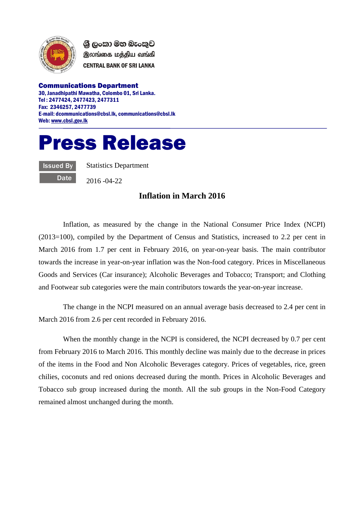

ශී ලංකා මහ බැංකුව இலங்கை மத்திய வங்கி **CENTRAL BANK OF SRI LANKA** 

Communications Department 30, Janadhipathi Mawatha, Colombo 01, Sri Lanka. Tel : 2477424, 2477423, 2477311 Fax: 2346257, 2477739 E-mail: dcommunications@cbsl.lk, communications@cbsl.lk Web[: www.cbsl.gov.lk](http://www.cbsl.gov.lk/)

## Press Release

Issued By **Date**  Statistics Department

2016 -04-22

## **Inflation in March 2016**

Inflation, as measured by the change in the National Consumer Price Index (NCPI) (2013=100), compiled by the Department of Census and Statistics, increased to 2.2 per cent in March 2016 from 1.7 per cent in February 2016, on year-on-year basis. The main contributor towards the increase in year-on-year inflation was the Non-food category. Prices in Miscellaneous Goods and Services (Car insurance); Alcoholic Beverages and Tobacco; Transport; and Clothing and Footwear sub categories were the main contributors towards the year-on-year increase.

The change in the NCPI measured on an annual average basis decreased to 2.4 per cent in March 2016 from 2.6 per cent recorded in February 2016.

When the monthly change in the NCPI is considered, the NCPI decreased by 0.7 per cent from February 2016 to March 2016. This monthly decline was mainly due to the decrease in prices of the items in the Food and Non Alcoholic Beverages category. Prices of vegetables, rice, green chilies, coconuts and red onions decreased during the month. Prices in Alcoholic Beverages and Tobacco sub group increased during the month. All the sub groups in the Non-Food Category remained almost unchanged during the month.